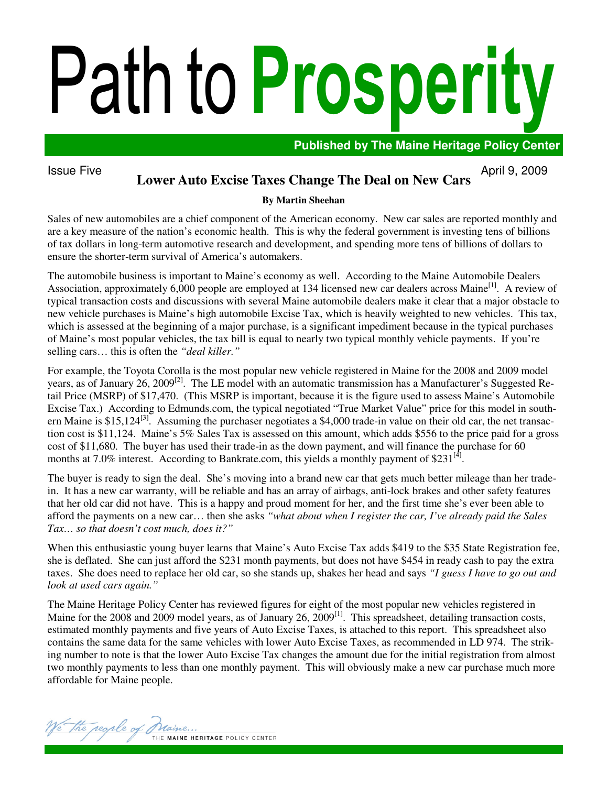# Path to Prosperity

**Published by The Maine Heritage Policy Center** 

### Issue Five  $\overline{A}$  April 9, 2009 **Lower Auto Excise Taxes Change The Deal on New Cars**

## **By Martin Sheehan**

Sales of new automobiles are a chief component of the American economy. New car sales are reported monthly and are a key measure of the nation's economic health. This is why the federal government is investing tens of billions of tax dollars in long-term automotive research and development, and spending more tens of billions of dollars to ensure the shorter-term survival of America's automakers.

The automobile business is important to Maine's economy as well. According to the Maine Automobile Dealers Association, approximately 6,000 people are employed at 134 licensed new car dealers across Maine<sup>[1]</sup>. A review of typical transaction costs and discussions with several Maine automobile dealers make it clear that a major obstacle to new vehicle purchases is Maine's high automobile Excise Tax, which is heavily weighted to new vehicles. This tax, which is assessed at the beginning of a major purchase, is a significant impediment because in the typical purchases of Maine's most popular vehicles, the tax bill is equal to nearly two typical monthly vehicle payments. If you're selling cars… this is often the *"deal killer."*

For example, the Toyota Corolla is the most popular new vehicle registered in Maine for the 2008 and 2009 model years, as of January 26, 2009<sup>[2]</sup>. The LE model with an automatic transmission has a Manufacturer's Suggested Retail Price (MSRP) of \$17,470. (This MSRP is important, because it is the figure used to assess Maine's Automobile Excise Tax.) According to Edmunds.com, the typical negotiated "True Market Value" price for this model in southern Maine is \$15,124<sup>[3]</sup>. Assuming the purchaser negotiates a \$4,000 trade-in value on their old car, the net transaction cost is \$11,124. Maine's 5% Sales Tax is assessed on this amount, which adds \$556 to the price paid for a gross cost of \$11,680. The buyer has used their trade-in as the down payment, and will finance the purchase for 60 months at 7.0% interest. According to Bankrate.com, this yields a monthly payment of \$231 $^{[4]}$ .

The buyer is ready to sign the deal. She's moving into a brand new car that gets much better mileage than her tradein. It has a new car warranty, will be reliable and has an array of airbags, anti-lock brakes and other safety features that her old car did not have. This is a happy and proud moment for her, and the first time she's ever been able to afford the payments on a new car… then she asks *"what about when I register the car, I've already paid the Sales Tax… so that doesn't cost much, does it?"* 

When this enthusiastic young buyer learns that Maine's Auto Excise Tax adds \$419 to the \$35 State Registration fee, she is deflated. She can just afford the \$231 month payments, but does not have \$454 in ready cash to pay the extra taxes. She does need to replace her old car, so she stands up, shakes her head and says *"I guess I have to go out and look at used cars again."* 

The Maine Heritage Policy Center has reviewed figures for eight of the most popular new vehicles registered in Maine for the 2008 and 2009 model years, as of January 26, 2009<sup>[1]</sup>. This spreadsheet, detailing transaction costs, estimated monthly payments and five years of Auto Excise Taxes, is attached to this report. This spreadsheet also contains the same data for the same vehicles with lower Auto Excise Taxes, as recommended in LD 974. The striking number to note is that the lower Auto Excise Tax changes the amount due for the initial registration from almost two monthly payments to less than one monthly payment. This will obviously make a new car purchase much more affordable for Maine people.

The people of Maine. THE MAINE HERITAGE POLICY CENTER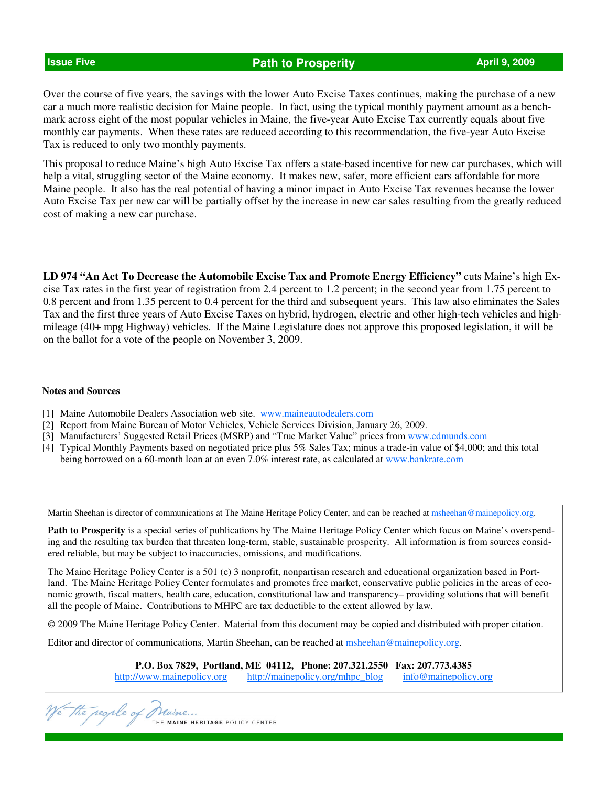# **Issue Five Path to Prosperity <b>April 9, 2009 April 9, 2009**

Over the course of five years, the savings with the lower Auto Excise Taxes continues, making the purchase of a new car a much more realistic decision for Maine people. In fact, using the typical monthly payment amount as a benchmark across eight of the most popular vehicles in Maine, the five-year Auto Excise Tax currently equals about five monthly car payments. When these rates are reduced according to this recommendation, the five-year Auto Excise Tax is reduced to only two monthly payments.

This proposal to reduce Maine's high Auto Excise Tax offers a state-based incentive for new car purchases, which will help a vital, struggling sector of the Maine economy. It makes new, safer, more efficient cars affordable for more Maine people. It also has the real potential of having a minor impact in Auto Excise Tax revenues because the lower Auto Excise Tax per new car will be partially offset by the increase in new car sales resulting from the greatly reduced cost of making a new car purchase.

**LD 974 "An Act To Decrease the Automobile Excise Tax and Promote Energy Efficiency"** cuts Maine's high Excise Tax rates in the first year of registration from 2.4 percent to 1.2 percent; in the second year from 1.75 percent to 0.8 percent and from 1.35 percent to 0.4 percent for the third and subsequent years. This law also eliminates the Sales Tax and the first three years of Auto Excise Taxes on hybrid, hydrogen, electric and other high-tech vehicles and highmileage (40+ mpg Highway) vehicles. If the Maine Legislature does not approve this proposed legislation, it will be on the ballot for a vote of the people on November 3, 2009.

### **Notes and Sources**

- [1] Maine Automobile Dealers Association web site. www.maineautodealers.com
- [2] Report from Maine Bureau of Motor Vehicles, Vehicle Services Division, January 26, 2009.
- [3] Manufacturers' Suggested Retail Prices (MSRP) and "True Market Value" prices from www.edmunds.com
- [4] Typical Monthly Payments based on negotiated price plus 5% Sales Tax; minus a trade-in value of \$4,000; and this total being borrowed on a 60-month loan at an even 7.0% interest rate, as calculated at www.bankrate.com

Martin Sheehan is director of communications at The Maine Heritage Policy Center, and can be reached at msheehan@mainepolicy.org.

**Path to Prosperity** is a special series of publications by The Maine Heritage Policy Center which focus on Maine's overspending and the resulting tax burden that threaten long-term, stable, sustainable prosperity. All information is from sources considered reliable, but may be subject to inaccuracies, omissions, and modifications.

The Maine Heritage Policy Center is a 501 (c) 3 nonprofit, nonpartisan research and educational organization based in Portland. The Maine Heritage Policy Center formulates and promotes free market, conservative public policies in the areas of economic growth, fiscal matters, health care, education, constitutional law and transparency– providing solutions that will benefit all the people of Maine. Contributions to MHPC are tax deductible to the extent allowed by law.

© 2009 The Maine Heritage Policy Center. Material from this document may be copied and distributed with proper citation.

Editor and director of communications, Martin Sheehan, can be reached at **msheehan@mainepolicy.org**.

**P.O. Box 7829, Portland, ME 04112, Phone: 207.321.2550 Fax: 207.773.4385**  http://www.mainepolicy.org http://mainepolicy.org/mhpc\_blog info@mainepolicy.org

We the people of Praine...